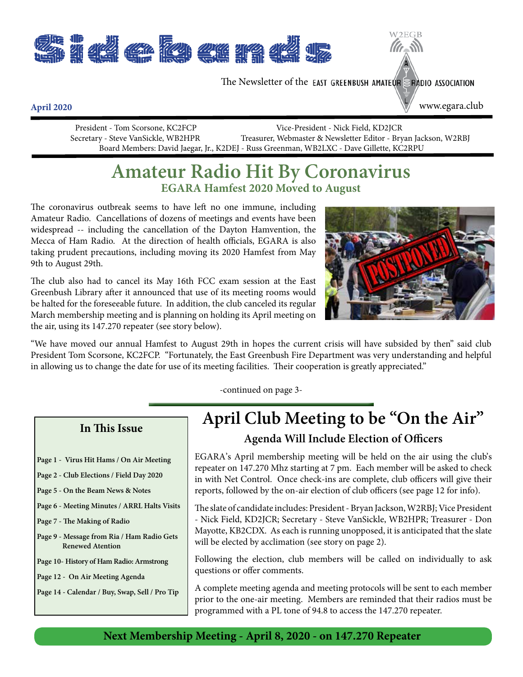

The Newsletter of the EAST GREENBUSH AMATEUR S RADIO ASSOCIATION

www.egara.club

**April 2020**

 President - Tom Scorsone, KC2FCP Vice-President - Nick Field, KD2JCR Secretary - Steve VanSickle, WB2HPR Treasurer, Webmaster & Newsletter Editor - Bryan Jackson, W2RBJ Board Members: David Jaegar, Jr., K2DEJ - Russ Greenman, WB2LXC - Dave Gillette, KC2RPU

## **Amateur Radio Hit By Coronavirus EGARA Hamfest 2020 Moved to August**

The coronavirus outbreak seems to have left no one immune, including Amateur Radio. Cancellations of dozens of meetings and events have been widespread -- including the cancellation of the Dayton Hamvention, the Mecca of Ham Radio. At the direction of health officials, EGARA is also taking prudent precautions, including moving its 2020 Hamfest from May 9th to August 29th.

The club also had to cancel its May 16th FCC exam session at the East Greenbush Library after it announced that use of its meeting rooms would be halted for the foreseeable future. In addition, the club canceled its regular March membership meeting and is planning on holding its April meeting on the air, using its 147.270 repeater (see story below).



2EGB

"We have moved our annual Hamfest to August 29th in hopes the current crisis will have subsided by then" said club President Tom Scorsone, KC2FCP. "Fortunately, the East Greenbush Fire Department was very understanding and helpful in allowing us to change the date for use of its meeting facilities. Their cooperation is greatly appreciated."

-continued on page 3-

#### **In This Issue**

- **Page 1 Virus Hit Hams / On Air Meeting**
- **Page 2 Club Elections / Field Day 2020**
- **Page 5 On the Beam News & Notes**
- **Page 6 Meeting Minutes / ARRL Halts Visits**
- **Page 7 The Making of Radio**
- **Page 9 Message from Ria / Ham Radio Gets Renewed Atention**
- **Page 10- History of Ham Radio: Armstrong**
- **Page 12 On Air Meeting Agenda**
- **Page 14 Calendar / Buy, Swap, Sell / Pro Tip**

## **April Club Meeting to be "On the Air" Agenda Will Include Election of Officers**

EGARA's April membership meeting will be held on the air using the club's repeater on 147.270 Mhz starting at 7 pm. Each member will be asked to check in with Net Control. Once check-ins are complete, club officers will give their reports, followed by the on-air election of club officers (see page 12 for info).

The slate of candidate includes: President - Bryan Jackson, W2RBJ; Vice President - Nick Field, KD2JCR; Secretary - Steve VanSickle, WB2HPR; Treasurer - Don Mayotte, KB2CDX. As each is running unopposed, it is anticipated that the slate will be elected by acclimation (see story on page 2).

Following the election, club members will be called on individually to ask questions or offer comments.

A complete meeting agenda and meeting protocols will be sent to each member prior to the one-air meeting. Members are reminded that their radios must be programmed with a PL tone of 94.8 to access the 147.270 repeater.

#### **Next Membership Meeting - April 8, 2020 - on 147.270 Repeater**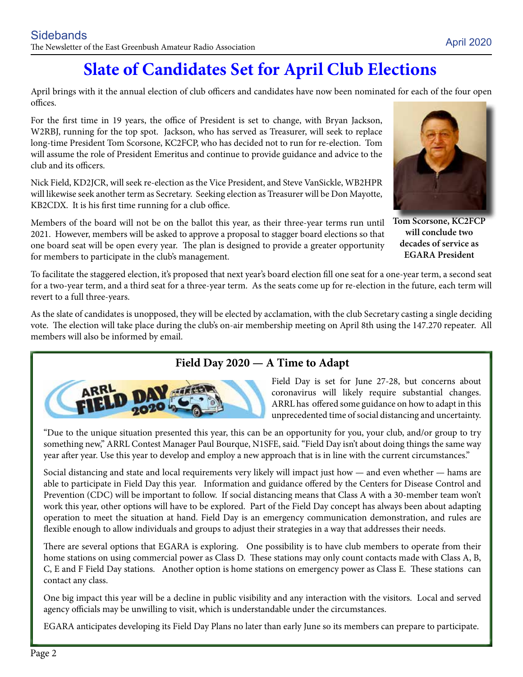# **Slate of Candidates Set for April Club Elections**

April brings with it the annual election of club officers and candidates have now been nominated for each of the four open offices.

For the first time in 19 years, the office of President is set to change, with Bryan Jackson, W2RBJ, running for the top spot. Jackson, who has served as Treasurer, will seek to replace long-time President Tom Scorsone, KC2FCP, who has decided not to run for re-election. Tom will assume the role of President Emeritus and continue to provide guidance and advice to the club and its officers.

Nick Field, KD2JCR, will seek re-election as the Vice President, and Steve VanSickle, WB2HPR will likewise seek another term as Secretary. Seeking election as Treasurer will be Don Mayotte, KB2CDX. It is his first time running for a club office.

Members of the board will not be on the ballot this year, as their three-year terms run until 2021. However, members will be asked to approve a proposal to stagger board elections so that one board seat will be open every year. The plan is designed to provide a greater opportunity for members to participate in the club's management.

**Tom Scorsone, KC2FCP** 

**will conclude two decades of service as EGARA President**

To facilitate the staggered election, it's proposed that next year's board election fill one seat for a one-year term, a second seat for a two-year term, and a third seat for a three-year term. As the seats come up for re-election in the future, each term will revert to a full three-years.

As the slate of candidates is unopposed, they will be elected by acclamation, with the club Secretary casting a single deciding vote. The election will take place during the club's on-air membership meeting on April 8th using the 147.270 repeater. All members will also be informed by email.

#### **Field Day 2020 — A Time to Adapt**



Field Day is set for June 27-28, but concerns about coronavirus will likely require substantial changes. ARRL has offered some guidance on how to adapt in this unprecedented time of social distancing and uncertainty.

"Due to the unique situation presented this year, this can be an opportunity for you, your club, and/or group to try something new," ARRL Contest Manager Paul Bourque, N1SFE, said. "Field Day isn't about doing things the same way year after year. Use this year to develop and employ a new approach that is in line with the current circumstances."

Social distancing and state and local requirements very likely will impact just how — and even whether — hams are able to participate in Field Day this year. Information and guidance offered by the Centers for Disease Control and Prevention (CDC) will be important to follow. If social distancing means that Class A with a 30-member team won't work this year, other options will have to be explored. Part of the Field Day concept has always been about adapting operation to meet the situation at hand. Field Day is an emergency communication demonstration, and rules are flexible enough to allow individuals and groups to adjust their strategies in a way that addresses their needs.

There are several options that EGARA is exploring. One possibility is to have club members to operate from their home stations on using commercial power as Class D. These stations may only count contacts made with Class A, B, C, E and F Field Day stations. Another option is home stations on emergency power as Class E. These stations can contact any class.

One big impact this year will be a decline in public visibility and any interaction with the visitors. Local and served agency officials may be unwilling to visit, which is understandable under the circumstances.

EGARA anticipates developing its Field Day Plans no later than early June so its members can prepare to participate.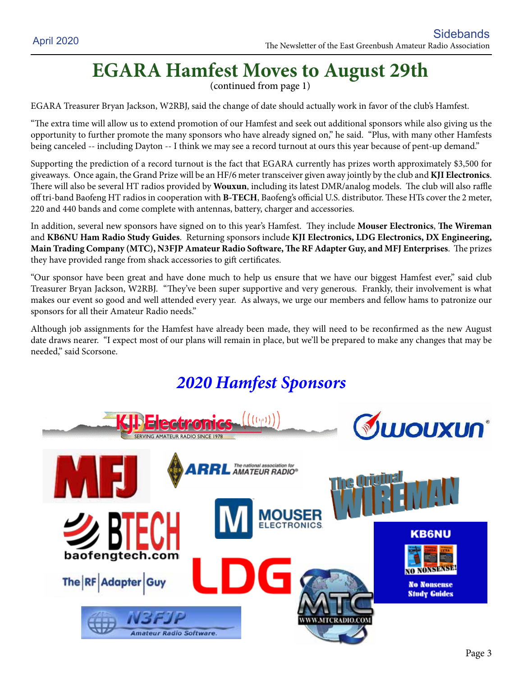# **EGARA Hamfest Moves to August 29th**

(continued from page 1)

EGARA Treasurer Bryan Jackson, W2RBJ, said the change of date should actually work in favor of the club's Hamfest.

"The extra time will allow us to extend promotion of our Hamfest and seek out additional sponsors while also giving us the opportunity to further promote the many sponsors who have already signed on," he said. "Plus, with many other Hamfests being canceled -- including Dayton -- I think we may see a record turnout at ours this year because of pent-up demand."

Supporting the prediction of a record turnout is the fact that EGARA currently has prizes worth approximately \$3,500 for giveaways. Once again, the Grand Prize will be an HF/6 meter transceiver given away jointly by the club and **KJI Electronics**. There will also be several HT radios provided by **Wouxun**, including its latest DMR/analog models. The club will also raffle off tri-band Baofeng HT radios in cooperation with **B-TECH**, Baofeng's official U.S. distributor. These HTs cover the 2 meter, 220 and 440 bands and come complete with antennas, battery, charger and accessories.

In addition, several new sponsors have signed on to this year's Hamfest. They include **Mouser Electronics**, **The Wireman**  and **KB6NU Ham Radio Study Guides**. Returning sponsors include **KJI Electronics, LDG Electronics, DX Engineering, Main Trading Company (MTC), N3FJP Amateur Radio Software, The RF Adapter Guy, and MFJ Enterprises**. The prizes they have provided range from shack accessories to gift certificates.

"Our sponsor have been great and have done much to help us ensure that we have our biggest Hamfest ever," said club Treasurer Bryan Jackson, W2RBJ. "They've been super supportive and very generous. Frankly, their involvement is what makes our event so good and well attended every year. As always, we urge our members and fellow hams to patronize our sponsors for all their Amateur Radio needs."

Although job assignments for the Hamfest have already been made, they will need to be reconfirmed as the new August date draws nearer. "I expect most of our plans will remain in place, but we'll be prepared to make any changes that may be needed," said Scorsone.

## *2020 Hamfest Sponsors*

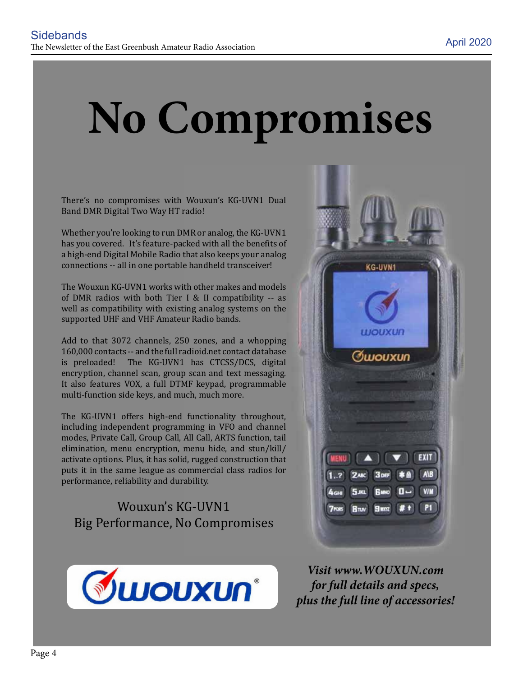# **No Compromises**

There's no compromises with Wouxun's KG-UVN1 Dual Band DMR Digital Two Way HT radio!

Whether you're looking to run DMR or analog, the KG-UVN1 has you covered. It's feature-packed with all the benefits of a high-end Digital Mobile Radio that also keeps your analog connections -- all in one portable handheld transceiver!

The Wouxun KG-UVN1 works with other makes and models of DMR radios with both Tier I & II compatibility -- as well as compatibility with existing analog systems on the supported UHF and VHF Amateur Radio bands.

Add to that 3072 channels, 250 zones, and a whopping 160,000 contacts -- and the full radioid.net contact database is preloaded! The KG-UVN1 has CTCSS/DCS, digital encryption, channel scan, group scan and text messaging. It also features VOX, a full DTMF keypad, programmable multi-function side keys, and much, much more.

The KG-UVN1 offers high-end functionality throughout, including independent programming in VFO and channel modes, Private Call, Group Call, All Call, ARTS function, tail elimination, menu encryption, menu hide, and stun/kill/ activate options. Plus, it has solid, rugged construction that puts it in the same league as commercial class radios for performance, reliability and durability.

Wouxun's KG-UVN1 Big Performance, No Compromises





*Visit www.WOUXUN.com for full details and specs, plus the full line of accessories!*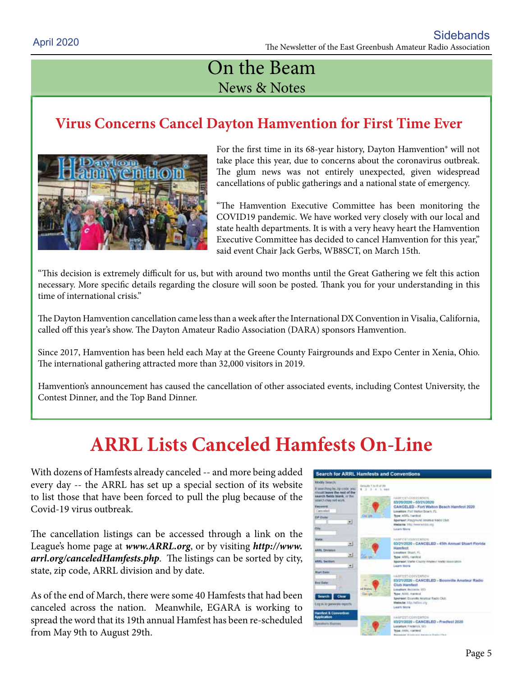## On the Beam News & Notes

## **Virus Concerns Cancel Dayton Hamvention for First Time Ever**



For the first time in its 68-year history, Dayton Hamvention® will not take place this year, due to concerns about the coronavirus outbreak. The glum news was not entirely unexpected, given widespread cancellations of public gatherings and a national state of emergency.

"The Hamvention Executive Committee has been monitoring the COVID19 pandemic. We have worked very closely with our local and state health departments. It is with a very heavy heart the Hamvention Executive Committee has decided to cancel Hamvention for this year," said event Chair Jack Gerbs, WB8SCT, on March 15th.

"This decision is extremely difficult for us, but with around two months until the Great Gathering we felt this action necessary. More specific details regarding the closure will soon be posted. Thank you for your understanding in this time of international crisis."

The Dayton Hamvention cancellation came less than a week after the International DX Convention in Visalia, California, called off this year's show. The Dayton Amateur Radio Association (DARA) sponsors Hamvention.

Since 2017, Hamvention has been held each May at the Greene County Fairgrounds and Expo Center in Xenia, Ohio. The international gathering attracted more than 32,000 visitors in 2019.

Hamvention's announcement has caused the cancellation of other associated events, including Contest University, the Contest Dinner, and the Top Band Dinner.

# **ARRL Lists Canceled Hamfests On-Line**

With dozens of Hamfests already canceled -- and more being added every day -- the ARRL has set up a special section of its website to list those that have been forced to pull the plug because of the Covid-19 virus outbreak.

The cancellation listings can be accessed through a link on the League's home page at *www.ARRL.org*, or by visiting *http://www. arrl.org/canceledHamfests.php*. The listings can be sorted by city, state, zip code, ARRL division and by date.

As of the end of March, there were some 40 Hamfests that had been canceled across the nation. Meanwhile, EGARA is working to spread the word that its 19th annual Hamfest has been re-scheduled from May 9th to August 29th.

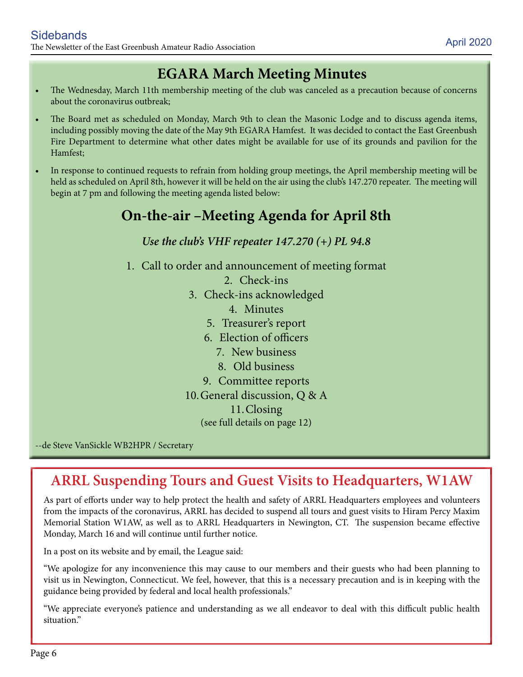## **EGARA March Meeting Minutes**

- The Wednesday, March 11th membership meeting of the club was canceled as a precaution because of concerns about the coronavirus outbreak;
- The Board met as scheduled on Monday, March 9th to clean the Masonic Lodge and to discuss agenda items, including possibly moving the date of the May 9th EGARA Hamfest. It was decided to contact the East Greenbush Fire Department to determine what other dates might be available for use of its grounds and pavilion for the Hamfest;
- In response to continued requests to refrain from holding group meetings, the April membership meeting will be held as scheduled on April 8th, however it will be held on the air using the club's 147.270 repeater. The meeting will begin at 7 pm and following the meeting agenda listed below:

## **On-the-air –Meeting Agenda for April 8th**

#### *Use the club's VHF repeater 147.270 (+) PL 94.8*

- 1. Call to order and announcement of meeting format
	- 2. Check-ins
	- 3. Check-ins acknowledged
		- 4. Minutes
		- 5. Treasurer's report
		- 6. Election of officers
			- 7. New business
			- 8. Old business
		- 9. Committee reports
	- 10.General discussion, Q & A
		- 11.Closing
		- (see full details on page 12)

--de Steve VanSickle WB2HPR / Secretary

## **ARRL Suspending Tours and Guest Visits to Headquarters, W1AW**

As part of efforts under way to help protect the health and safety of ARRL Headquarters employees and volunteers from the impacts of the coronavirus, ARRL has decided to suspend all tours and guest visits to Hiram Percy Maxim Memorial Station W1AW, as well as to ARRL Headquarters in Newington, CT. The suspension became effective Monday, March 16 and will continue until further notice.

In a post on its website and by email, the League said:

"We apologize for any inconvenience this may cause to our members and their guests who had been planning to visit us in Newington, Connecticut. We feel, however, that this is a necessary precaution and is in keeping with the guidance being provided by federal and local health professionals."

"We appreciate everyone's patience and understanding as we all endeavor to deal with this difficult public health situation."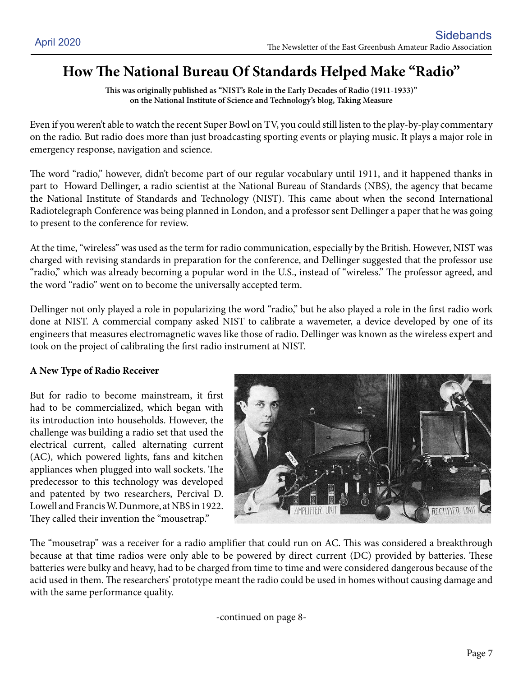## **How The National Bureau Of Standards Helped Make "Radio"**

**This was originally published as "NIST's Role in the Early Decades of Radio (1911-1933)" on the National Institute of Science and Technology's blog, Taking Measure**

Even if you weren't able to watch the recent Super Bowl on TV, you could still listen to the play-by-play commentary on the radio. But radio does more than just broadcasting sporting events or playing music. It plays a major role in emergency response, navigation and science.

The word "radio," however, didn't become part of our regular vocabulary until 1911, and it happened thanks in part to Howard Dellinger, a radio scientist at the National Bureau of Standards (NBS), the agency that became the National Institute of Standards and Technology (NIST). This came about when the second International Radiotelegraph Conference was being planned in London, and a professor sent Dellinger a paper that he was going to present to the conference for review.

At the time, "wireless" was used as the term for radio communication, especially by the British. However, NIST was charged with revising standards in preparation for the conference, and Dellinger suggested that the professor use "radio," which was already becoming a popular word in the U.S., instead of "wireless." The professor agreed, and the word "radio" went on to become the universally accepted term.

Dellinger not only played a role in popularizing the word "radio," but he also played a role in the first radio work done at NIST. A commercial company asked NIST to calibrate a wavemeter, a device developed by one of its engineers that measures electromagnetic waves like those of radio. Dellinger was known as the wireless expert and took on the project of calibrating the first radio instrument at NIST.

#### **A New Type of Radio Receiver**

But for radio to become mainstream, it first had to be commercialized, which began with its introduction into households. However, the challenge was building a radio set that used the electrical current, called alternating current (AC), which powered lights, fans and kitchen appliances when plugged into wall sockets. The predecessor to this technology was developed and patented by two researchers, Percival D. Lowell and Francis W. Dunmore, at NBS in 1922. They called their invention the "mousetrap."



The "mousetrap" was a receiver for a radio amplifier that could run on AC. This was considered a breakthrough because at that time radios were only able to be powered by direct current (DC) provided by batteries. These batteries were bulky and heavy, had to be charged from time to time and were considered dangerous because of the acid used in them. The researchers' prototype meant the radio could be used in homes without causing damage and with the same performance quality.

-continued on page 8-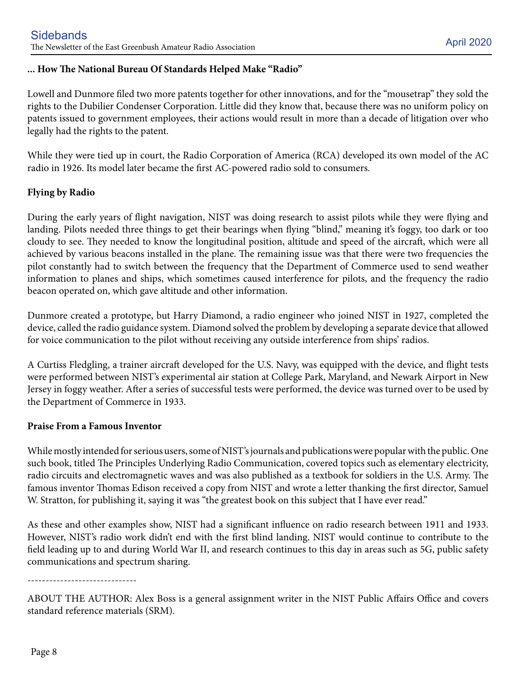#### **... How The National Bureau Of Standards Helped Make "Radio"**

Lowell and Dunmore filed two more patents together for other innovations, and for the "mousetrap" they sold the rights to the Dubilier Condenser Corporation. Little did they know that, because there was no uniform policy on patents issued to government employees, their actions would result in more than a decade of litigation over who legally had the rights to the patent.

While they were tied up in court, the Radio Corporation of America (RCA) developed its own model of the AC radio in 1926. Its model later became the first AC-powered radio sold to consumers.

#### **Flying by Radio**

During the early years of flight navigation, NIST was doing research to assist pilots while they were flying and landing. Pilots needed three things to get their bearings when flying "blind," meaning it's foggy, too dark or too cloudy to see. They needed to know the longitudinal position, altitude and speed of the aircraft, which were all achieved by various beacons installed in the plane. The remaining issue was that there were two frequencies the pilot constantly had to switch between the frequency that the Department of Commerce used to send weather information to planes and ships, which sometimes caused interference for pilots, and the frequency the radio beacon operated on, which gave altitude and other information.

Dunmore created a prototype, but Harry Diamond, a radio engineer who joined NIST in 1927, completed the device, called the radio guidance system. Diamond solved the problem by developing a separate device that allowed for voice communication to the pilot without receiving any outside interference from ships' radios.

A Curtiss Fledgling, a trainer aircraft developed for the U.S. Navy, was equipped with the device, and flight tests were performed between NIST's experimental air station at College Park, Maryland, and Newark Airport in New Jersey in foggy weather. After a series of successful tests were performed, the device was turned over to be used by the Department of Commerce in 1933.

#### **Praise From a Famous Inventor**

While mostly intended for serious users, some of NIST's journals and publications were popular with the public. One such book, titled The Principles Underlying Radio Communication, covered topics such as elementary electricity, radio circuits and electromagnetic waves and was also published as a textbook for soldiers in the U.S. Army. The famous inventor Thomas Edison received a copy from NIST and wrote a letter thanking the first director, Samuel W. Stratton, for publishing it, saying it was "the greatest book on this subject that I have ever read."

As these and other examples show, NIST had a significant influence on radio research between 1911 and 1933. However, NIST's radio work didn't end with the first blind landing. NIST would continue to contribute to the field leading up to and during World War II, and research continues to this day in areas such as 5G, public safety communications and spectrum sharing.

------------------------------

ABOUT THE AUTHOR: Alex Boss is a general assignment writer in the NIST Public Affairs Office and covers standard reference materials (SRM).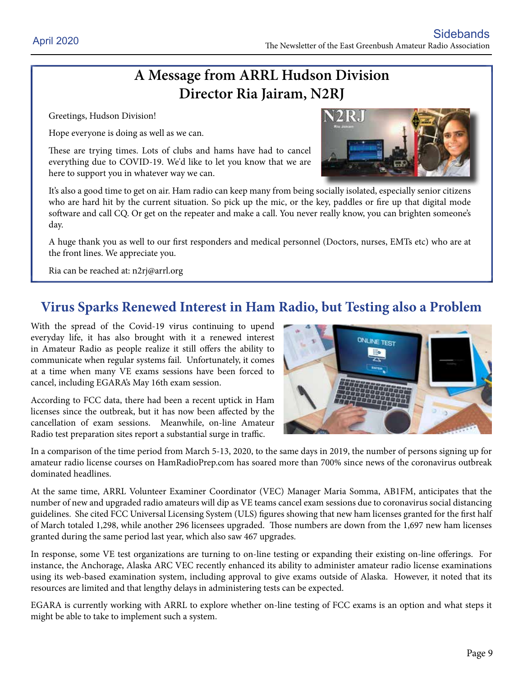## **A Message from ARRL Hudson Division Director Ria Jairam, N2RJ**

Greetings, Hudson Division!

Hope everyone is doing as well as we can.

These are trying times. Lots of clubs and hams have had to cancel everything due to COVID-19. We'd like to let you know that we are here to support you in whatever way we can.



It's also a good time to get on air. Ham radio can keep many from being socially isolated, especially senior citizens who are hard hit by the current situation. So pick up the mic, or the key, paddles or fire up that digital mode software and call CQ. Or get on the repeater and make a call. You never really know, you can brighten someone's day.

A huge thank you as well to our first responders and medical personnel (Doctors, nurses, EMTs etc) who are at the front lines. We appreciate you.

Ria can be reached at: n2rj@arrl.org

### **Virus Sparks Renewed Interest in Ham Radio, but Testing also a Problem**

With the spread of the Covid-19 virus continuing to upend everyday life, it has also brought with it a renewed interest in Amateur Radio as people realize it still offers the ability to communicate when regular systems fail. Unfortunately, it comes at a time when many VE exams sessions have been forced to cancel, including EGARA's May 16th exam session.

According to FCC data, there had been a recent uptick in Ham licenses since the outbreak, but it has now been affected by the cancellation of exam sessions. Meanwhile, on-line Amateur Radio test preparation sites report a substantial surge in traffic.



In a comparison of the time period from March 5-13, 2020, to the same days in 2019, the number of persons signing up for amateur radio license courses on HamRadioPrep.com has soared more than 700% since news of the coronavirus outbreak dominated headlines.

At the same time, ARRL Volunteer Examiner Coordinator (VEC) Manager Maria Somma, AB1FM, anticipates that the number of new and upgraded radio amateurs will dip as VE teams cancel exam sessions due to coronavirus social distancing guidelines. She cited FCC Universal Licensing System (ULS) figures showing that new ham licenses granted for the first half of March totaled 1,298, while another 296 licensees upgraded. Those numbers are down from the 1,697 new ham licenses granted during the same period last year, which also saw 467 upgrades.

In response, some VE test organizations are turning to on-line testing or expanding their existing on-line offerings. For instance, the Anchorage, Alaska ARC VEC recently enhanced its ability to administer amateur radio license examinations using its web-based examination system, including approval to give exams outside of Alaska. However, it noted that its resources are limited and that lengthy delays in administering tests can be expected.

EGARA is currently working with ARRL to explore whether on-line testing of FCC exams is an option and what steps it might be able to take to implement such a system.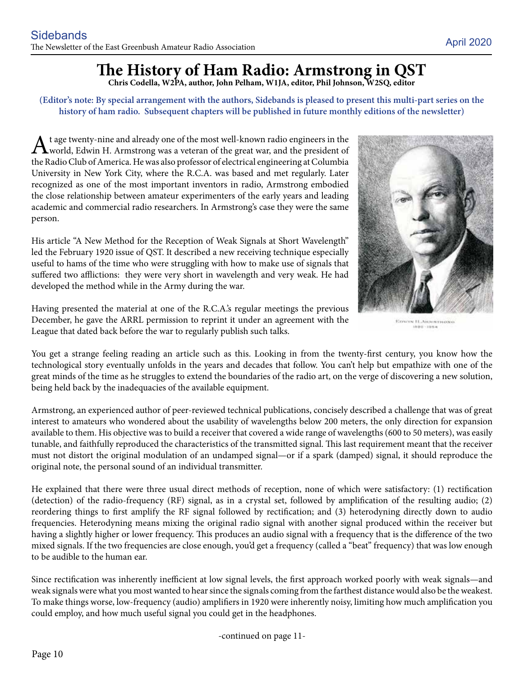# **The History of Ham Radio: Armstrong in QST**

**Chris Codella, W2PA, author, John Pelham, W1JA, editor, Phil Johnson, W2SQ, editor**

**(Editor's note: By special arrangement with the authors, Sidebands is pleased to present this multi-part series on the history of ham radio. Subsequent chapters will be published in future monthly editions of the newsletter)**

 $\bf{A}$ t age twenty-nine and already one of the most well-known radio engineers in the world, Edwin H. Armstrong was a veteran of the great war, and the president of the Radio Club of America. He was also professor of electrical engineering at Columbia University in New York City, where the R.C.A. was based and met regularly. Later recognized as one of the most important inventors in radio, Armstrong embodied the close relationship between amateur experimenters of the early years and leading academic and commercial radio researchers. In Armstrong's case they were the same person.

His article "A New Method for the Reception of Weak Signals at Short Wavelength" led the February 1920 issue of QST. It described a new receiving technique especially useful to hams of the time who were struggling with how to make use of signals that suffered two afflictions: they were very short in wavelength and very weak. He had developed the method while in the Army during the war.



EDWIN H.ARMSTRONG

Having presented the material at one of the R.C.A.'s regular meetings the previous December, he gave the ARRL permission to reprint it under an agreement with the League that dated back before the war to regularly publish such talks.

You get a strange feeling reading an article such as this. Looking in from the twenty-first century, you know how the technological story eventually unfolds in the years and decades that follow. You can't help but empathize with one of the great minds of the time as he struggles to extend the boundaries of the radio art, on the verge of discovering a new solution, being held back by the inadequacies of the available equipment.

Armstrong, an experienced author of peer-reviewed technical publications, concisely described a challenge that was of great interest to amateurs who wondered about the usability of wavelengths below 200 meters, the only direction for expansion available to them. His objective was to build a receiver that covered a wide range of wavelengths (600 to 50 meters), was easily tunable, and faithfully reproduced the characteristics of the transmitted signal. This last requirement meant that the receiver must not distort the original modulation of an undamped signal—or if a spark (damped) signal, it should reproduce the original note, the personal sound of an individual transmitter.

He explained that there were three usual direct methods of reception, none of which were satisfactory: (1) rectification (detection) of the radio-frequency (RF) signal, as in a crystal set, followed by amplification of the resulting audio; (2) reordering things to first amplify the RF signal followed by rectification; and (3) heterodyning directly down to audio frequencies. Heterodyning means mixing the original radio signal with another signal produced within the receiver but having a slightly higher or lower frequency. This produces an audio signal with a frequency that is the difference of the two mixed signals. If the two frequencies are close enough, you'd get a frequency (called a "beat" frequency) that was low enough to be audible to the human ear.

Since rectification was inherently inefficient at low signal levels, the first approach worked poorly with weak signals—and weak signals were what you most wanted to hear since the signals coming from the farthest distance would also be the weakest. To make things worse, low-frequency (audio) amplifiers in 1920 were inherently noisy, limiting how much amplification you could employ, and how much useful signal you could get in the headphones.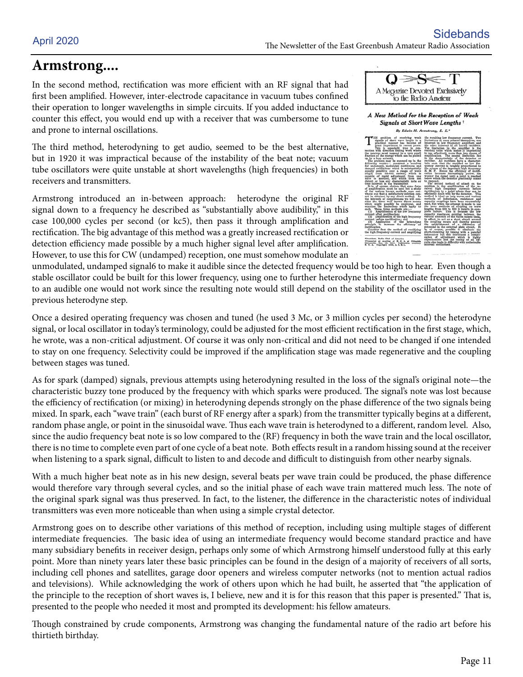## **Armstrong....**

In the second method, rectification was more efficient with an RF signal that had first been amplified. However, inter-electrode capacitance in vacuum tubes confined their operation to longer wavelengths in simple circuits. If you added inductance to counter this effect, you would end up with a receiver that was cumbersome to tune and prone to internal oscillations.

The third method, heterodyning to get audio, seemed to be the best alternative, but in 1920 it was impractical because of the instability of the beat note; vacuum tube oscillators were quite unstable at short wavelengths (high frequencies) in both receivers and transmitters.

Armstrong introduced an in-between approach: heterodyne the original RF signal down to a frequency he described as "substantially above audibility," in this case 100,000 cycles per second (or kc5), then pass it through amplification and rectification. The big advantage of this method was a greatly increased rectification or detection efficiency made possible by a much higher signal level after amplification. However, to use this for CW (undamped) reception, one must somehow modulate an

| A Magazine Devoted Exclusively<br>to the Radio Amateur                                                                                                                                                                                                                                                                                                                                                                                                                                                        |                                                                                                                                                                                                                                                                                                                                                                                                                                                                                                                                                                                                         |  |
|---------------------------------------------------------------------------------------------------------------------------------------------------------------------------------------------------------------------------------------------------------------------------------------------------------------------------------------------------------------------------------------------------------------------------------------------------------------------------------------------------------------|---------------------------------------------------------------------------------------------------------------------------------------------------------------------------------------------------------------------------------------------------------------------------------------------------------------------------------------------------------------------------------------------------------------------------------------------------------------------------------------------------------------------------------------------------------------------------------------------------------|--|
| A New Method for the Reception of Weak<br>Signals at Short Wave Lengths +<br>By Edwin H. Armstrong, E. E.*                                                                                                                                                                                                                                                                                                                                                                                                    |                                                                                                                                                                                                                                                                                                                                                                                                                                                                                                                                                                                                         |  |
| problem of receiving weak<br>signals of short wave length in a<br>practical manner has become of<br>great importance in recent years,<br>is especially true in con-<br>nection with direction finding work where<br>the receiver must respond to a very small<br>fraction of the energy which can be picked<br>up by a loop antenna.<br>The problem may be summed up in the<br>following words:- construct a receiver<br>for undamped, modulated continuous and<br>damped oscillations which is substantially | the resulting low frequency current. Two<br>limitations at once present themselves, one<br>inherent in low frequency amplifiers and<br>the other inherent in all known rectifiers.<br>The limitation in the amplifier is the<br>residual noise which makes it impractical<br>to use effectively more than two stages of<br>amplification. The second limitation lies<br>in the characteristic of the detector or<br>rectifier. All rectifiers have a character-<br>latic such that the rectified or low fre-<br>quency current is roughly proportional to<br>the square of the impressed high frequency |  |

|  | fraction of the energy which can be picked<br>up by a loop antenna.<br>The problem may be summed up in the<br>following words)- construct a receiver<br>for undamped, modulated continuous and<br>damped oscillations which is substantially<br>equally sensitive over a range of wave<br>length from 50-600 meters; which is<br>capable of rapid adjustment from one<br>wave to another, and which does not<br>distort or lose any characteristic note or<br>tone inherent in the transmitter.<br>It is, of course, obvious that some form<br>of amplification must be used but a study<br>of the various known methods soon con-<br>vinces one that a satisfactory solution can-<br>not be obtained by any direct method. In<br>the interests of completeness we will con-<br>sider the three well known direct means<br>which might possibly be employed, and<br>examine the limitations which apply to<br>each. These three methods are :-<br>(1) Amplification of the low frequency<br>current after rectification:<br>(2) Amplification of the high frequency<br>current before rectification; and<br>(3) Application of the heterodyne<br>principle to increase the efficiency of<br>rectification.<br>Consider first the method of rectifying<br>the high frequency current and amplifying<br>*President, Radio Club of America.<br>!Presented at meeting of R. C. A. at Columbia<br>University, Dec. 19, 1919. Publication courtesy | ampuncation. The second imalation her<br>in the characteristic of the detector or<br>rectifier. All rectifiers have a character-<br>latic such that the rectified or low fre-<br>quency current is roughly proportional to<br>the square of the impressed high frequency<br>E. M. F. Hence the efficiency of rectifi-<br>cation becomes increasingly noorer the<br>weaker the signal until a point is reached<br>below which the detector practically ccases<br>to respond.<br>The second method of attack on the<br>problem is the amplification of the re-<br>ceived high frequency currents before<br>rectification to a point where they can be<br>efficiently dealt with by the detector. This<br>method is ideal on long waves and various<br>methods of inductance, resistance and<br>eapacity couplings have been successfully<br>used, but when the attempt is made to use<br>the same methods of coupling on wave<br>lengths from 200 to 600 it results in com-<br>plete failure. This is because the low<br>eapacity reactance existing between the<br>various elements of the tubes causes them.<br>in effect, to act as a short elreult around<br>the coupling means and thereby prevent<br>the establishment of a difference of<br>potential in the external plate circuit. It<br>is, of course, possible to eliminate the<br>short-circuiting by tuning with a parallel<br>inductance but this introduces a compli-<br>cation of adjustment which is highly<br>objectionable and the tuning of all cir-<br>cults also leads to difficulty with undesirable<br>internal oscillations. |
|--|----------------------------------------------------------------------------------------------------------------------------------------------------------------------------------------------------------------------------------------------------------------------------------------------------------------------------------------------------------------------------------------------------------------------------------------------------------------------------------------------------------------------------------------------------------------------------------------------------------------------------------------------------------------------------------------------------------------------------------------------------------------------------------------------------------------------------------------------------------------------------------------------------------------------------------------------------------------------------------------------------------------------------------------------------------------------------------------------------------------------------------------------------------------------------------------------------------------------------------------------------------------------------------------------------------------------------------------------------------------------------------------------------------------------------------------------|-----------------------------------------------------------------------------------------------------------------------------------------------------------------------------------------------------------------------------------------------------------------------------------------------------------------------------------------------------------------------------------------------------------------------------------------------------------------------------------------------------------------------------------------------------------------------------------------------------------------------------------------------------------------------------------------------------------------------------------------------------------------------------------------------------------------------------------------------------------------------------------------------------------------------------------------------------------------------------------------------------------------------------------------------------------------------------------------------------------------------------------------------------------------------------------------------------------------------------------------------------------------------------------------------------------------------------------------------------------------------------------------------------------------------------------------------------------------------------------------------------------------------------------------------------------------------------------------------------|
|  |                                                                                                                                                                                                                                                                                                                                                                                                                                                                                                                                                                                                                                                                                                                                                                                                                                                                                                                                                                                                                                                                                                                                                                                                                                                                                                                                                                                                                                              |                                                                                                                                                                                                                                                                                                                                                                                                                                                                                                                                                                                                                                                                                                                                                                                                                                                                                                                                                                                                                                                                                                                                                                                                                                                                                                                                                                                                                                                                                                                                                                                                     |

unmodulated, undamped signal6 to make it audible since the detected frequency would be too high to hear. Even though a stable oscillator could be built for this lower frequency, using one to further heterodyne this intermediate frequency down to an audible one would not work since the resulting note would still depend on the stability of the oscillator used in the previous heterodyne step.

Once a desired operating frequency was chosen and tuned (he used 3 Mc, or 3 million cycles per second) the heterodyne signal, or local oscillator in today's terminology, could be adjusted for the most efficient rectification in the first stage, which, he wrote, was a non-critical adjustment. Of course it was only non-critical and did not need to be changed if one intended to stay on one frequency. Selectivity could be improved if the amplification stage was made regenerative and the coupling between stages was tuned.

As for spark (damped) signals, previous attempts using heterodyning resulted in the loss of the signal's original note—the characteristic buzzy tone produced by the frequency with which sparks were produced. The signal's note was lost because the efficiency of rectification (or mixing) in heterodyning depends strongly on the phase difference of the two signals being mixed. In spark, each "wave train" (each burst of RF energy after a spark) from the transmitter typically begins at a different, random phase angle, or point in the sinusoidal wave. Thus each wave train is heterodyned to a different, random level. Also, since the audio frequency beat note is so low compared to the (RF) frequency in both the wave train and the local oscillator, there is no time to complete even part of one cycle of a beat note. Both effects result in a random hissing sound at the receiver when listening to a spark signal, difficult to listen to and decode and difficult to distinguish from other nearby signals.

With a much higher beat note as in his new design, several beats per wave train could be produced, the phase difference would therefore vary through several cycles, and so the initial phase of each wave train mattered much less. The note of the original spark signal was thus preserved. In fact, to the listener, the difference in the characteristic notes of individual transmitters was even more noticeable than when using a simple crystal detector.

Armstrong goes on to describe other variations of this method of reception, including using multiple stages of different intermediate frequencies. The basic idea of using an intermediate frequency would become standard practice and have many subsidiary benefits in receiver design, perhaps only some of which Armstrong himself understood fully at this early point. More than ninety years later these basic principles can be found in the design of a majority of receivers of all sorts, including cell phones and satellites, garage door openers and wireless computer networks (not to mention actual radios and televisions). While acknowledging the work of others upon which he had built, he asserted that "the application of the principle to the reception of short waves is, I believe, new and it is for this reason that this paper is presented." That is, presented to the people who needed it most and prompted its development: his fellow amateurs.

Though constrained by crude components, Armstrong was changing the fundamental nature of the radio art before his thirtieth birthday.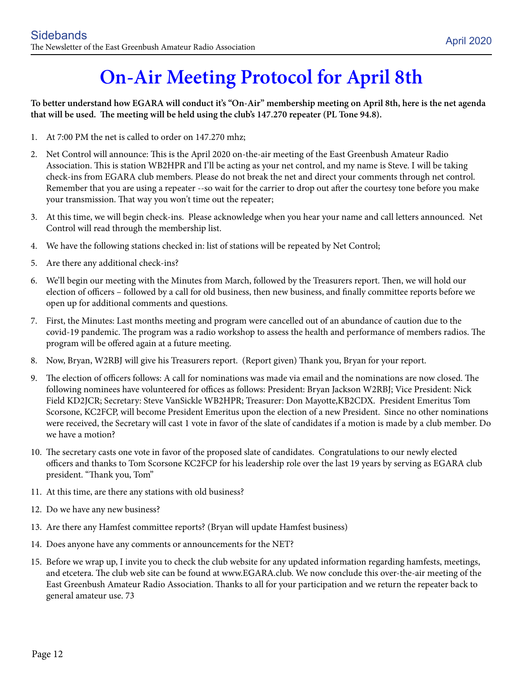# **On-Air Meeting Protocol for April 8th**

**To better understand how EGARA will conduct it's "On-Air" membership meeting on April 8th, here is the net agenda that will be used. The meeting will be held using the club's 147.270 repeater (PL Tone 94.8).**

- 1. At 7:00 PM the net is called to order on 147.270 mhz;
- 2. Net Control will announce: This is the April 2020 on-the-air meeting of the East Greenbush Amateur Radio Association. This is station WB2HPR and I'll be acting as your net control, and my name is Steve. I will be taking check-ins from EGARA club members. Please do not break the net and direct your comments through net control. Remember that you are using a repeater --so wait for the carrier to drop out after the courtesy tone before you make your transmission. That way you won't time out the repeater;
- 3. At this time, we will begin check-ins. Please acknowledge when you hear your name and call letters announced. Net Control will read through the membership list.
- 4. We have the following stations checked in: list of stations will be repeated by Net Control;
- 5. Are there any additional check-ins?
- 6. We'll begin our meeting with the Minutes from March, followed by the Treasurers report. Then, we will hold our election of officers – followed by a call for old business, then new business, and finally committee reports before we open up for additional comments and questions.
- 7. First, the Minutes: Last months meeting and program were cancelled out of an abundance of caution due to the covid-19 pandemic. The program was a radio workshop to assess the health and performance of members radios. The program will be offered again at a future meeting.
- 8. Now, Bryan, W2RBJ will give his Treasurers report. (Report given) Thank you, Bryan for your report.
- 9. The election of officers follows: A call for nominations was made via email and the nominations are now closed. The following nominees have volunteered for offices as follows: President: Bryan Jackson W2RBJ; Vice President: Nick Field KD2JCR; Secretary: Steve VanSickle WB2HPR; Treasurer: Don Mayotte,KB2CDX. President Emeritus Tom Scorsone, KC2FCP, will become President Emeritus upon the election of a new President. Since no other nominations were received, the Secretary will cast 1 vote in favor of the slate of candidates if a motion is made by a club member. Do we have a motion?
- 10. The secretary casts one vote in favor of the proposed slate of candidates. Congratulations to our newly elected officers and thanks to Tom Scorsone KC2FCP for his leadership role over the last 19 years by serving as EGARA club president. "Thank you, Tom"
- 11. At this time, are there any stations with old business?
- 12. Do we have any new business?
- 13. Are there any Hamfest committee reports? (Bryan will update Hamfest business)
- 14. Does anyone have any comments or announcements for the NET?
- 15. Before we wrap up, I invite you to check the club website for any updated information regarding hamfests, meetings, and etcetera. The club web site can be found at www.EGARA.club. We now conclude this over-the-air meeting of the East Greenbush Amateur Radio Association. Thanks to all for your participation and we return the repeater back to general amateur use. 73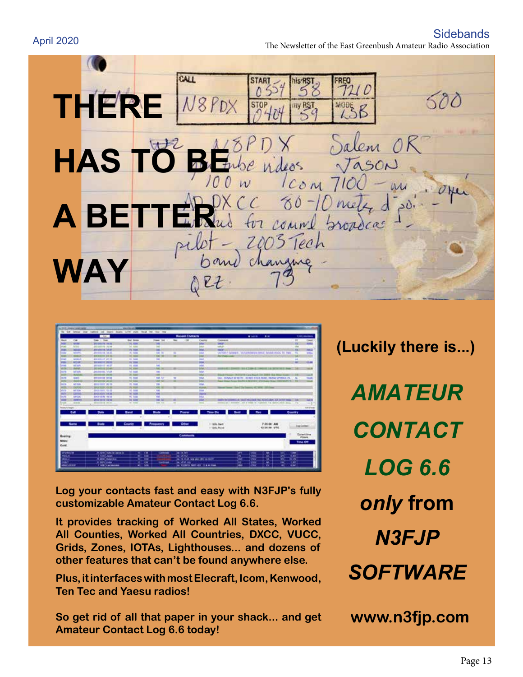Sidebands The Newsletter of the East Greenbush Amateur Radio Association April 2020

CALL **THERE**  500 8PDX Salem OR **HAS TO** e videos  $l_{COM}$  $CC 80 - 10$ nel **A BETTER** us for count comme propoca changing **WAY**  $QEL$ 



**Log your contacts fast and easy with N3FJP's fully customizable Amateur Contact Log 6.6.**

**It provides tracking of Worked All States, Worked All Counties, Worked All Countries, DXCC, VUCC, Grids, Zones, IOTAs, Lighthouses... and dozens of other features that can't be found anywhere else.**

**Plus, it interfaces with most Elecraft, Icom, Kenwood, Ten Tec and Yaesu radios!**

**So get rid of all that paper in your shack... and get Amateur Contact Log 6.6 today!**

*AMATEUR CONTACT LOG 6.6 only* **from**  *N3FJP SOFTWARE*

**(Luckily there is...)**

**www.n3fjp.com**